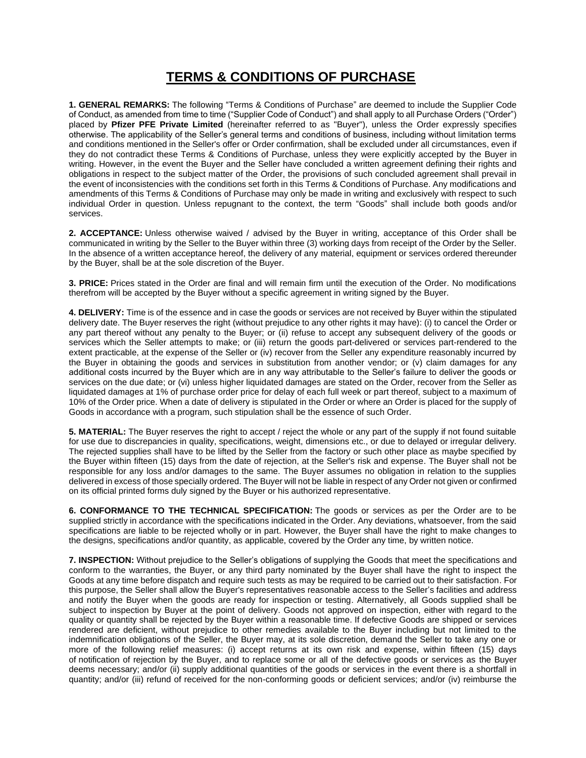## **TERMS & CONDITIONS OF PURCHASE**

**1. GENERAL REMARKS:** The following "Terms & Conditions of Purchase" are deemed to include the Supplier Code of Conduct, as amended from time to time ("Supplier Code of Conduct") and shall apply to all Purchase Orders ("Order") placed by **Pfizer PFE Private Limited** (hereinafter referred to as "Buyer"), unless the Order expressly specifies otherwise. The applicability of the Seller's general terms and conditions of business, including without limitation terms and conditions mentioned in the Seller's offer or Order confirmation, shall be excluded under all circumstances, even if they do not contradict these Terms & Conditions of Purchase, unless they were explicitly accepted by the Buyer in writing. However, in the event the Buyer and the Seller have concluded a written agreement defining their rights and obligations in respect to the subject matter of the Order, the provisions of such concluded agreement shall prevail in the event of inconsistencies with the conditions set forth in this Terms & Conditions of Purchase. Any modifications and amendments of this Terms & Conditions of Purchase may only be made in writing and exclusively with respect to such individual Order in question. Unless repugnant to the context, the term "Goods" shall include both goods and/or services.

**2. ACCEPTANCE:** Unless otherwise waived / advised by the Buyer in writing, acceptance of this Order shall be communicated in writing by the Seller to the Buyer within three (3) working days from receipt of the Order by the Seller. In the absence of a written acceptance hereof, the delivery of any material, equipment or services ordered thereunder by the Buyer, shall be at the sole discretion of the Buyer.

**3. PRICE:** Prices stated in the Order are final and will remain firm until the execution of the Order. No modifications therefrom will be accepted by the Buyer without a specific agreement in writing signed by the Buyer.

**4. DELIVERY:** Time is of the essence and in case the goods or services are not received by Buyer within the stipulated delivery date. The Buyer reserves the right (without prejudice to any other rights it may have): (i) to cancel the Order or any part thereof without any penalty to the Buyer; or (ii) refuse to accept any subsequent delivery of the goods or services which the Seller attempts to make; or (iii) return the goods part-delivered or services part-rendered to the extent practicable, at the expense of the Seller or (iv) recover from the Seller any expenditure reasonably incurred by the Buyer in obtaining the goods and services in substitution from another vendor; or (v) claim damages for any additional costs incurred by the Buyer which are in any way attributable to the Seller's failure to deliver the goods or services on the due date; or (vi) unless higher liquidated damages are stated on the Order, recover from the Seller as liquidated damages at 1% of purchase order price for delay of each full week or part thereof, subject to a maximum of 10% of the Order price. When a date of delivery is stipulated in the Order or where an Order is placed for the supply of Goods in accordance with a program, such stipulation shall be the essence of such Order.

**5. MATERIAL:** The Buyer reserves the right to accept / reject the whole or any part of the supply if not found suitable for use due to discrepancies in quality, specifications, weight, dimensions etc., or due to delayed or irregular delivery. The rejected supplies shall have to be lifted by the Seller from the factory or such other place as maybe specified by the Buyer within fifteen (15) days from the date of rejection, at the Seller's risk and expense. The Buyer shall not be responsible for any loss and/or damages to the same. The Buyer assumes no obligation in relation to the supplies delivered in excess of those specially ordered. The Buyer will not be liable in respect of any Order not given or confirmed on its official printed forms duly signed by the Buyer or his authorized representative.

**6. CONFORMANCE TO THE TECHNICAL SPECIFICATION:** The goods or services as per the Order are to be supplied strictly in accordance with the specifications indicated in the Order. Any deviations, whatsoever, from the said specifications are liable to be rejected wholly or in part. However, the Buyer shall have the right to make changes to the designs, specifications and/or quantity, as applicable, covered by the Order any time, by written notice.

**7. INSPECTION:** Without prejudice to the Seller's obligations of supplying the Goods that meet the specifications and conform to the warranties, the Buyer, or any third party nominated by the Buyer shall have the right to inspect the Goods at any time before dispatch and require such tests as may be required to be carried out to their satisfaction. For this purpose, the Seller shall allow the Buyer's representatives reasonable access to the Seller's facilities and address and notify the Buyer when the goods are ready for inspection or testing. Alternatively, all Goods supplied shall be subject to inspection by Buyer at the point of delivery. Goods not approved on inspection, either with regard to the quality or quantity shall be rejected by the Buyer within a reasonable time. If defective Goods are shipped or services rendered are deficient, without prejudice to other remedies available to the Buyer including but not limited to the indemnification obligations of the Seller, the Buyer may, at its sole discretion, demand the Seller to take any one or more of the following relief measures: (i) accept returns at its own risk and expense, within fifteen (15) days of notification of rejection by the Buyer, and to replace some or all of the defective goods or services as the Buyer deems necessary; and/or (ii) supply additional quantities of the goods or services in the event there is a shortfall in quantity; and/or (iii) refund of received for the non-conforming goods or deficient services; and/or (iv) reimburse the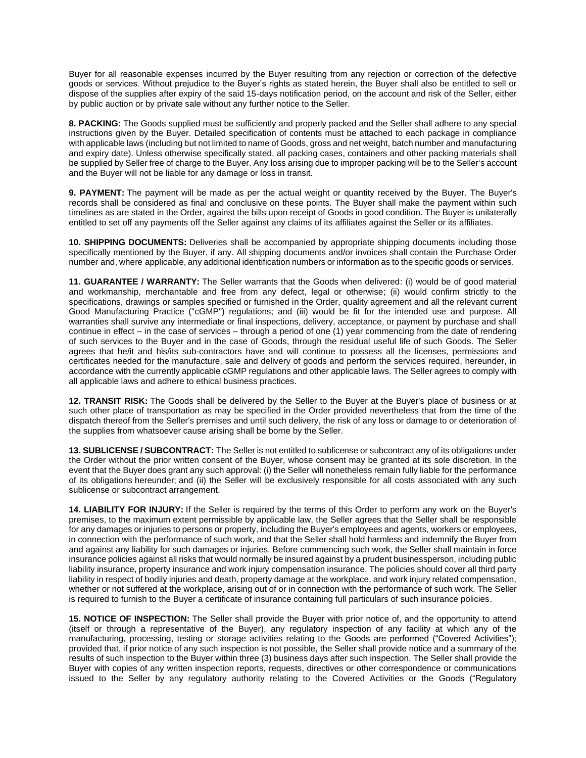Buyer for all reasonable expenses incurred by the Buyer resulting from any rejection or correction of the defective goods or services. Without prejudice to the Buyer's rights as stated herein, the Buyer shall also be entitled to sell or dispose of the supplies after expiry of the said 15-days notification period, on the account and risk of the Seller, either by public auction or by private sale without any further notice to the Seller.

**8. PACKING:** The Goods supplied must be sufficiently and properly packed and the Seller shall adhere to any special instructions given by the Buyer. Detailed specification of contents must be attached to each package in compliance with applicable laws (including but not limited to name of Goods, gross and net weight, batch number and manufacturing and expiry date). Unless otherwise specifically stated, all packing cases, containers and other packing materials shall be supplied by Seller free of charge to the Buyer. Any loss arising due to improper packing will be to the Seller's account and the Buyer will not be liable for any damage or loss in transit.

**9. PAYMENT:** The payment will be made as per the actual weight or quantity received by the Buyer. The Buyer's records shall be considered as final and conclusive on these points. The Buyer shall make the payment within such timelines as are stated in the Order, against the bills upon receipt of Goods in good condition. The Buyer is unilaterally entitled to set off any payments off the Seller against any claims of its affiliates against the Seller or its affiliates.

**10. SHIPPING DOCUMENTS:** Deliveries shall be accompanied by appropriate shipping documents including those specifically mentioned by the Buyer, if any. All shipping documents and/or invoices shall contain the Purchase Order number and, where applicable, any additional identification numbers or information as to the specific goods or services.

**11. GUARANTEE / WARRANTY:** The Seller warrants that the Goods when delivered: (i) would be of good material and workmanship, merchantable and free from any defect, legal or otherwise; (ii) would confirm strictly to the specifications, drawings or samples specified or furnished in the Order, quality agreement and all the relevant current Good Manufacturing Practice ("cGMP") regulations; and (iii) would be fit for the intended use and purpose. All warranties shall survive any intermediate or final inspections, delivery, acceptance, or payment by purchase and shall continue in effect – in the case of services – through a period of one (1) year commencing from the date of rendering of such services to the Buyer and in the case of Goods, through the residual useful life of such Goods. The Seller agrees that he/it and his/its sub-contractors have and will continue to possess all the licenses, permissions and certificates needed for the manufacture, sale and delivery of goods and perform the services required, hereunder, in accordance with the currently applicable cGMP regulations and other applicable laws. The Seller agrees to comply with all applicable laws and adhere to ethical business practices.

**12. TRANSIT RISK:** The Goods shall be delivered by the Seller to the Buyer at the Buyer's place of business or at such other place of transportation as may be specified in the Order provided nevertheless that from the time of the dispatch thereof from the Seller's premises and until such delivery, the risk of any loss or damage to or deterioration of the supplies from whatsoever cause arising shall be borne by the Seller.

**13. SUBLICENSE / SUBCONTRACT:** The Seller is not entitled to sublicense or subcontract any of its obligations under the Order without the prior written consent of the Buyer, whose consent may be granted at its sole discretion. In the event that the Buyer does grant any such approval: (i) the Seller will nonetheless remain fully liable for the performance of its obligations hereunder; and (ii) the Seller will be exclusively responsible for all costs associated with any such sublicense or subcontract arrangement.

**14. LIABILITY FOR INJURY:** If the Seller is required by the terms of this Order to perform any work on the Buyer's premises, to the maximum extent permissible by applicable law, the Seller agrees that the Seller shall be responsible for any damages or injuries to persons or property, including the Buyer's employees and agents, workers or employees, in connection with the performance of such work, and that the Seller shall hold harmless and indemnify the Buyer from and against any liability for such damages or injuries. Before commencing such work, the Seller shall maintain in force insurance policies against all risks that would normally be insured against by a prudent businessperson, including public liability insurance, property insurance and work injury compensation insurance. The policies should cover all third party liability in respect of bodily injuries and death, property damage at the workplace, and work injury related compensation, whether or not suffered at the workplace, arising out of or in connection with the performance of such work. The Seller is required to furnish to the Buyer a certificate of insurance containing full particulars of such insurance policies.

**15. NOTICE OF INSPECTION:** The Seller shall provide the Buyer with prior notice of, and the opportunity to attend (itself or through a representative of the Buyer), any regulatory inspection of any facility at which any of the manufacturing, processing, testing or storage activities relating to the Goods are performed ("Covered Activities"); provided that, if prior notice of any such inspection is not possible, the Seller shall provide notice and a summary of the results of such inspection to the Buyer within three (3) business days after such inspection. The Seller shall provide the Buyer with copies of any written inspection reports, requests, directives or other correspondence or communications issued to the Seller by any regulatory authority relating to the Covered Activities or the Goods ("Regulatory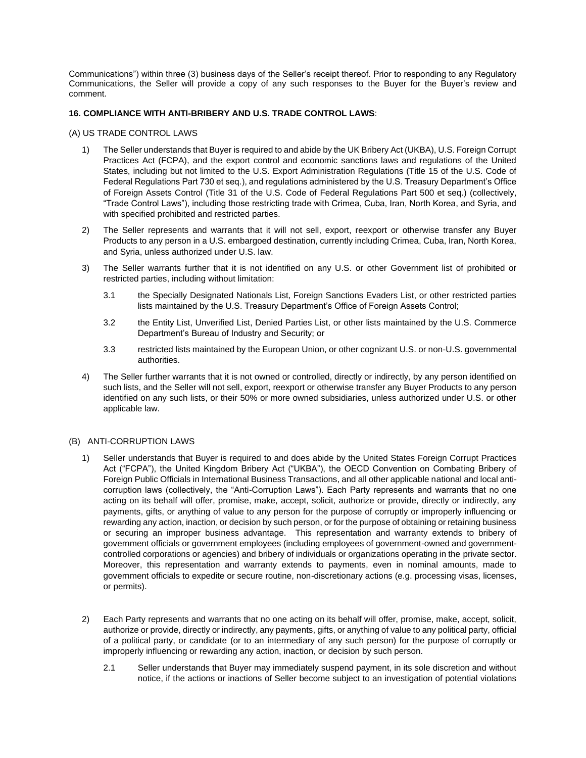Communications") within three (3) business days of the Seller's receipt thereof. Prior to responding to any Regulatory Communications, the Seller will provide a copy of any such responses to the Buyer for the Buyer's review and comment.

## **16. COMPLIANCE WITH ANTI-BRIBERY AND U.S. TRADE CONTROL LAWS**:

## (A) US TRADE CONTROL LAWS

- 1) The Seller understands that Buyer is required to and abide by the UK Bribery Act (UKBA), U.S. Foreign Corrupt Practices Act (FCPA), and the export control and economic sanctions laws and regulations of the United States, including but not limited to the U.S. Export Administration Regulations (Title 15 of the U.S. Code of Federal Regulations Part 730 et seq.), and regulations administered by the U.S. Treasury Department's Office of Foreign Assets Control (Title 31 of the U.S. Code of Federal Regulations Part 500 et seq.) (collectively, "Trade Control Laws"), including those restricting trade with Crimea, Cuba, Iran, North Korea, and Syria, and with specified prohibited and restricted parties.
- 2) The Seller represents and warrants that it will not sell, export, reexport or otherwise transfer any Buyer Products to any person in a U.S. embargoed destination, currently including Crimea, Cuba, Iran, North Korea, and Syria, unless authorized under U.S. law.
- 3) The Seller warrants further that it is not identified on any U.S. or other Government list of prohibited or restricted parties, including without limitation:
	- 3.1 the Specially Designated Nationals List, Foreign Sanctions Evaders List, or other restricted parties lists maintained by the U.S. Treasury Department's Office of Foreign Assets Control;
	- 3.2 the Entity List, Unverified List, Denied Parties List, or other lists maintained by the U.S. Commerce Department's Bureau of Industry and Security; or
	- 3.3 restricted lists maintained by the European Union, or other cognizant U.S. or non-U.S. governmental authorities.
- 4) The Seller further warrants that it is not owned or controlled, directly or indirectly, by any person identified on such lists, and the Seller will not sell, export, reexport or otherwise transfer any Buyer Products to any person identified on any such lists, or their 50% or more owned subsidiaries, unless authorized under U.S. or other applicable law.

## (B) ANTI-CORRUPTION LAWS

- 1) Seller understands that Buyer is required to and does abide by the United States Foreign Corrupt Practices Act ("FCPA"), the United Kingdom Bribery Act ("UKBA"), the OECD Convention on Combating Bribery of Foreign Public Officials in International Business Transactions, and all other applicable national and local anticorruption laws (collectively, the "Anti-Corruption Laws"). Each Party represents and warrants that no one acting on its behalf will offer, promise, make, accept, solicit, authorize or provide, directly or indirectly, any payments, gifts, or anything of value to any person for the purpose of corruptly or improperly influencing or rewarding any action, inaction, or decision by such person, or for the purpose of obtaining or retaining business or securing an improper business advantage. This representation and warranty extends to bribery of government officials or government employees (including employees of government-owned and governmentcontrolled corporations or agencies) and bribery of individuals or organizations operating in the private sector. Moreover, this representation and warranty extends to payments, even in nominal amounts, made to government officials to expedite or secure routine, non-discretionary actions (e.g. processing visas, licenses, or permits).
- 2) Each Party represents and warrants that no one acting on its behalf will offer, promise, make, accept, solicit, authorize or provide, directly or indirectly, any payments, gifts, or anything of value to any political party, official of a political party, or candidate (or to an intermediary of any such person) for the purpose of corruptly or improperly influencing or rewarding any action, inaction, or decision by such person.
	- 2.1 Seller understands that Buyer may immediately suspend payment, in its sole discretion and without notice, if the actions or inactions of Seller become subject to an investigation of potential violations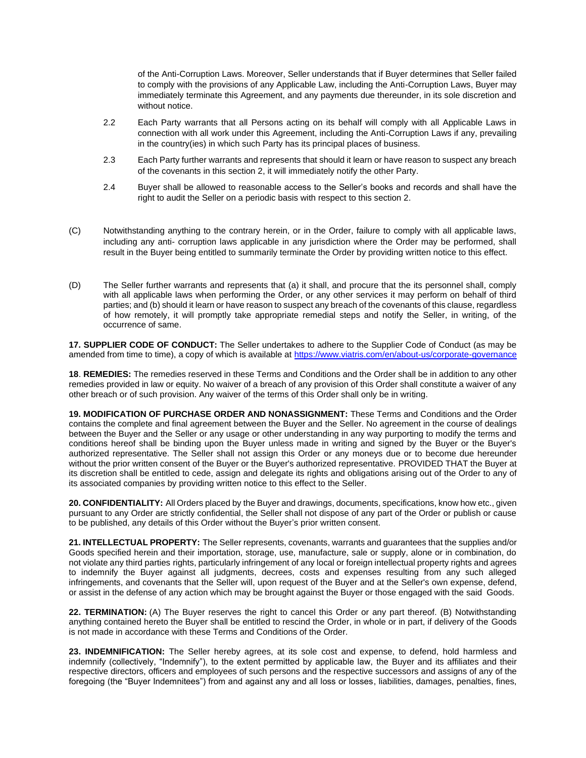of the Anti-Corruption Laws. Moreover, Seller understands that if Buyer determines that Seller failed to comply with the provisions of any Applicable Law, including the Anti-Corruption Laws, Buyer may immediately terminate this Agreement, and any payments due thereunder, in its sole discretion and without notice.

- 2.2 Each Party warrants that all Persons acting on its behalf will comply with all Applicable Laws in connection with all work under this Agreement, including the Anti-Corruption Laws if any, prevailing in the country(ies) in which such Party has its principal places of business.
- 2.3 Each Party further warrants and represents that should it learn or have reason to suspect any breach of the covenants in this section 2, it will immediately notify the other Party.
- 2.4 Buyer shall be allowed to reasonable access to the Seller's books and records and shall have the right to audit the Seller on a periodic basis with respect to this section 2.
- (C) Notwithstanding anything to the contrary herein, or in the Order, failure to comply with all applicable laws, including any anti- corruption laws applicable in any jurisdiction where the Order may be performed, shall result in the Buyer being entitled to summarily terminate the Order by providing written notice to this effect.
- (D) The Seller further warrants and represents that (a) it shall, and procure that the its personnel shall, comply with all applicable laws when performing the Order, or any other services it may perform on behalf of third parties; and (b) should it learn or have reason to suspect any breach of the covenants of this clause, regardless of how remotely, it will promptly take appropriate remedial steps and notify the Seller, in writing, of the occurrence of same.

**17. SUPPLIER CODE OF CONDUCT:** The Seller undertakes to adhere to the Supplier Code of Conduct (as may be amended from time to time), a copy of which is available at <https://www.viatris.com/en/about-us/corporate-governance>

**18**. **REMEDIES:** The remedies reserved in these Terms and Conditions and the Order shall be in addition to any other remedies provided in law or equity. No waiver of a breach of any provision of this Order shall constitute a waiver of any other breach or of such provision. Any waiver of the terms of this Order shall only be in writing.

**19. MODIFICATION OF PURCHASE ORDER AND NONASSIGNMENT:** These Terms and Conditions and the Order contains the complete and final agreement between the Buyer and the Seller. No agreement in the course of dealings between the Buyer and the Seller or any usage or other understanding in any way purporting to modify the terms and conditions hereof shall be binding upon the Buyer unless made in writing and signed by the Buyer or the Buyer's authorized representative. The Seller shall not assign this Order or any moneys due or to become due hereunder without the prior written consent of the Buyer or the Buyer's authorized representative. PROVIDED THAT the Buyer at its discretion shall be entitled to cede, assign and delegate its rights and obligations arising out of the Order to any of its associated companies by providing written notice to this effect to the Seller.

**20. CONFIDENTIALITY:** All Orders placed by the Buyer and drawings, documents, specifications, know how etc., given pursuant to any Order are strictly confidential, the Seller shall not dispose of any part of the Order or publish or cause to be published, any details of this Order without the Buyer's prior written consent.

**21. INTELLECTUAL PROPERTY:** The Seller represents, covenants, warrants and guarantees that the supplies and/or Goods specified herein and their importation, storage, use, manufacture, sale or supply, alone or in combination, do not violate any third parties rights, particularly infringement of any local or foreign intellectual property rights and agrees to indemnify the Buyer against all judgments, decrees, costs and expenses resulting from any such alleged infringements, and covenants that the Seller will, upon request of the Buyer and at the Seller's own expense, defend, or assist in the defense of any action which may be brought against the Buyer or those engaged with the said Goods.

**22. TERMINATION:** (A) The Buyer reserves the right to cancel this Order or any part thereof. (B) Notwithstanding anything contained hereto the Buyer shall be entitled to rescind the Order, in whole or in part, if delivery of the Goods is not made in accordance with these Terms and Conditions of the Order.

**23. INDEMNIFICATION:** The Seller hereby agrees, at its sole cost and expense, to defend, hold harmless and indemnify (collectively, "Indemnify"), to the extent permitted by applicable law, the Buyer and its affiliates and their respective directors, officers and employees of such persons and the respective successors and assigns of any of the foregoing (the "Buyer Indemnitees") from and against any and all loss or losses, liabilities, damages, penalties, fines,